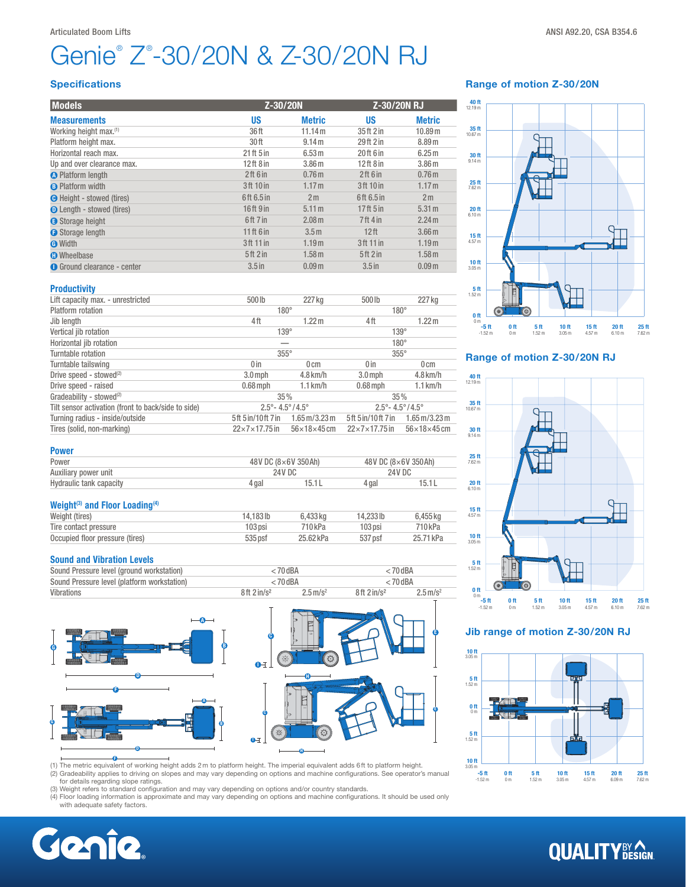#### Articulated Boom Lifts **Ansiel Afficial Agency CSA B354.6** ANSI A92.20, CSA B354.6

# Genie® Z® -30/20N & Z-30/20N RJ

## Specifications

| <b>Models</b>                      | Z-30/20N          |                   | Z-30/20N RJ       |                   |
|------------------------------------|-------------------|-------------------|-------------------|-------------------|
| <b>Measurements</b>                | US                | <b>Metric</b>     | US                | <b>Metric</b>     |
| Working height max.(1)             | 36ft              | 11.14 m           | 35ft 2 in         | 10.89 m           |
| Platform height max.               | 30 ft             | 9.14 m            | 29ft 2 in         | 8.89 <sub>m</sub> |
| Horizontal reach max.              | 21 ft 5 in        | 6.53 <sub>m</sub> | 20ft 6 in         | 6.25m             |
| Up and over clearance max.         | $12$ ft $8$ in    | 3.86 <sub>m</sub> | 12ft 8in          | 3.86 <sub>m</sub> |
| <b>O</b> Platform length           | 2ft 6in           | 0.76 <sub>m</sub> | 2ft 6in           | 0.76 <sub>m</sub> |
| <b>B</b> Platform width            | 3ft 10 in         | 1.17m             | 3ft 10 in         | 1.17m             |
| <b>O</b> Height - stowed (tires)   | 6ft 6.5 in        | 2 <sub>m</sub>    | 6ft 6.5 in        | 2 <sub>m</sub>    |
| <b>O</b> Length - stowed (tires)   | 16ft 9 in         | 5.11 <sub>m</sub> | 17ft 5 in         | 5.31 m            |
| <b>3</b> Storage height            | 6ft 7 in          | 2.08 <sub>m</sub> | <b>7ft 4 in</b>   | 2.24 m            |
| Storage length                     | 11 ft 6 in        | 3.5 <sub>m</sub>  | 12 <sub>ft</sub>  | 3.66 <sub>m</sub> |
| <b>O</b> Width                     | 3ft 11 in         | 1.19 <sub>m</sub> | 3ft 11 in         | 1.19m             |
| <b>O</b> Wheelbase                 | 5ft2in            | 1.58 <sub>m</sub> | 5ft2in            | 1.58 <sub>m</sub> |
| <b>O</b> Ground clearance - center | 3.5 <sub>in</sub> | 0.09 <sub>m</sub> | 3.5 <sub>in</sub> | 0.09 <sub>m</sub> |

#### **Productivity**

Power

| Lift capacity max. - unrestricted                   | 500lb                                   | 227 kg                                | 500 lb                                  | 227 kg                                |
|-----------------------------------------------------|-----------------------------------------|---------------------------------------|-----------------------------------------|---------------------------------------|
| Platform rotation                                   | $180^\circ$                             |                                       | $180^\circ$                             |                                       |
| Jib length                                          | 4ft                                     | 1.22 <sub>m</sub>                     | 4ft                                     | 1.22 m                                |
| Vertical jib rotation                               | $139^\circ$                             |                                       | $139^\circ$                             |                                       |
| Horizontal jib rotation                             |                                         |                                       | $180^\circ$                             |                                       |
| Turntable rotation                                  | $355^\circ$                             |                                       | $355^\circ$                             |                                       |
| Turntable tailswing                                 | 0 <sub>in</sub>                         | 0 <sub>cm</sub>                       | 0 <sub>in</sub>                         | 0 <sub>cm</sub>                       |
| Drive speed - stowed <sup>(2)</sup>                 | $3.0$ mph                               | $4.8$ km/h                            | $3.0$ mph                               | $4.8$ km/h                            |
| Drive speed - raised                                | $0.68$ mph                              | $1.1$ km/h                            | $0.68$ mph                              | $1.1$ km/h                            |
| Gradeability - stowed <sup>(2)</sup>                | $35\%$                                  |                                       | 35%                                     |                                       |
| Tilt sensor activation (front to back/side to side) | $2.5^{\circ} - 4.5^{\circ}/4.5^{\circ}$ |                                       | $2.5^{\circ} - 4.5^{\circ}/4.5^{\circ}$ |                                       |
| Turning radius - inside/outside                     | 5ft 5in/10ft 7in                        | $1.65 \,\mathrm{m}/3.23 \,\mathrm{m}$ | 5ft 5in/10ft 7in                        | $1.65 \,\mathrm{m}/3.23 \,\mathrm{m}$ |
| Tires (solid, non-marking)                          | $22\times7\times17.75$ in               | $56\times18\times45$ cm               | $22\times7\times17.75$ in               | $56\times18\times45$ cm               |
|                                                     |                                         |                                       |                                         |                                       |

| <b>PUWEI</b>            |        |                     |         |                     |  |  |
|-------------------------|--------|---------------------|---------|---------------------|--|--|
| Power                   |        | 48V DC (8×6V 350Ah) |         | 48V DC (8×6V 350Ah) |  |  |
| Auxiliary power unit    | 24V DC |                     | 24 V DC |                     |  |  |
| Hydraulic tank capacity | 4 gal  | 15.1 L              | 4 gal   | 15.1                |  |  |

#### Weight<sup>(3)</sup> and Floor Loading<sup>(4)</sup>

| Weight (tires)                  | 14.183lb | 6.433 kg  | 14.233 lb | 6,455 kg  |
|---------------------------------|----------|-----------|-----------|-----------|
| Tire contact pressure           | 103 psi  | 710 kPa   | 03 psi    | 710 kPa   |
| Occupied floor pressure (tires) | 535 psf  | 25.62 kPa | 537 psf   | 25.71 kPa |
|                                 |          |           |           |           |

#### Sound and Vibration Levels

sania,

| Sound Pressure level (ground workstation)   | < 70 dBA               |                        | $<$ 70 dBA    |                        |  |
|---------------------------------------------|------------------------|------------------------|---------------|------------------------|--|
| Sound Pressure level (platform workstation) | $< 70$ dBA             |                        | $< 70$ dBA    |                        |  |
| Vibrations                                  | 8ft 2in/s <sup>2</sup> | $2.5 \,\mathrm{m/s^2}$ | $8ft 2in/s^2$ | $2.5 \,\mathrm{m/s^2}$ |  |





G **CONFIGE CONFIGENT**<br>(1) The metric equivalent of working height adds 2 m to platform height. The imperial equivalent adds 6ft to platform height. (2) Gradeability applies to driving on slopes and may vary depending on options and machine configurations. See operator's manual<br>for details regarding slope ratings.<br>(3) Weight refers to standard configuration and may var

(4) Floor loading information is approximate and may vary depending on options and machine configurations. It should be used only with adequate safety factors.

### Range of motion Z-30/20N



### Range of motion Z-30/20N RJ



#### Jib range of motion Z-30/20N RJ



# **QUALITY**BY AGN